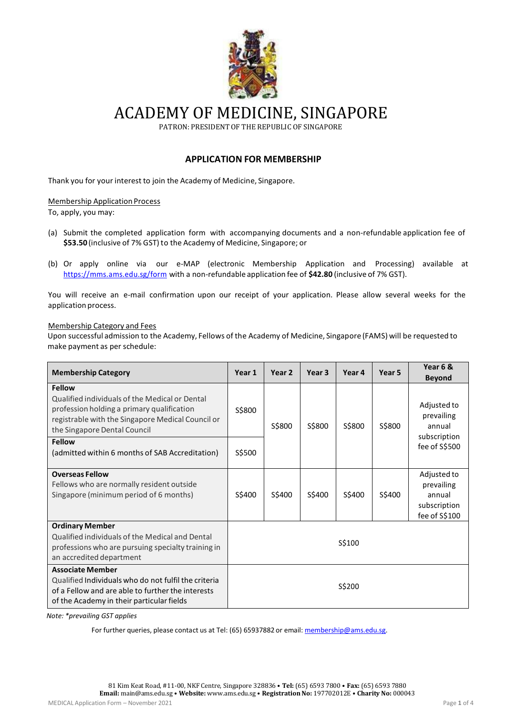

ACADEMY OF MEDICINE, SINGAPORE

PATRON: PRESIDENTOF THE REPUBLIC OF SINGAPORE

# **APPLICATION FOR MEMBERSHIP**

Thank you for your interest to join the Academy of Medicine, Singapore.

### Membership Application Process

To, apply, you may:

- (a) Submit the completed application form with accompanying documents and a non-refundable application fee of \$53.50 (inclusive of 7% GST) to the Academy of Medicine, Singapore; or
- (b) Or apply online via our e-MAP (electronic Membership Application and Processing) available at <https://mms.ams.edu.sg/form> with a non-refundable application fee of **\$42.80** (inclusive of 7% GST).

You will receive an e-mail confirmation upon our receipt of your application. Please allow several weeks for the application process.

#### Membership Category and Fees

Upon successful admission to the Academy, Fellows of the Academy of Medicine, Singapore (FAMS) will be requested to make payment as per schedule:

| <b>Membership Category</b>                                                                                                                                                                         | Year 1 | Year 2 | Year <sub>3</sub> | Year 4 | Year 5 | Year 6 &                                                             |
|----------------------------------------------------------------------------------------------------------------------------------------------------------------------------------------------------|--------|--------|-------------------|--------|--------|----------------------------------------------------------------------|
|                                                                                                                                                                                                    |        |        |                   |        |        | <b>Beyond</b>                                                        |
| <b>Fellow</b><br>Qualified individuals of the Medical or Dental<br>profession holding a primary qualification<br>registrable with the Singapore Medical Council or<br>the Singapore Dental Council | S\$800 | S\$800 | S\$800            | S\$800 | S\$800 | Adjusted to<br>prevailing<br>annual<br>subscription                  |
| <b>Fellow</b><br>(admitted within 6 months of SAB Accreditation)                                                                                                                                   | S\$500 |        |                   |        |        | fee of S\$500                                                        |
| <b>Overseas Fellow</b><br>Fellows who are normally resident outside<br>Singapore (minimum period of 6 months)                                                                                      | S\$400 | S\$400 | S\$400            | S\$400 | S\$400 | Adjusted to<br>prevailing<br>annual<br>subscription<br>fee of S\$100 |
| <b>Ordinary Member</b><br>Qualified individuals of the Medical and Dental<br>professions who are pursuing specialty training in<br>an accredited department                                        | S\$100 |        |                   |        |        |                                                                      |
| <b>Associate Member</b><br>Qualified Individuals who do not fulfil the criteria<br>of a Fellow and are able to further the interests<br>of the Academy in their particular fields                  | S\$200 |        |                   |        |        |                                                                      |

*Note: \*prevailing GST applies*

For further queries, please contact us at Tel: (65) 65937882 or email: [membership@ams.edu.sg.](mailto:membership@ams.edu.sg)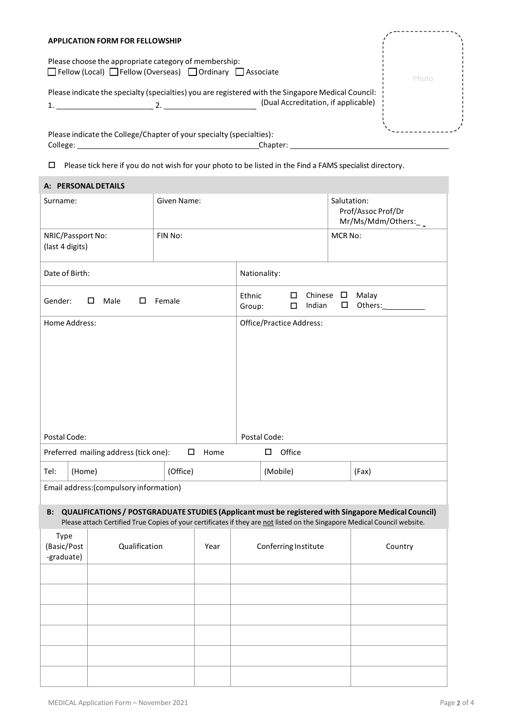#### **APPLICATION FORM FOR FELLOWSHIP**

Please choose the appropriate category of membership: □Fellow (Local) □Fellow (Overseas) □Ordinary □ Associate

Please indicate the specialty (specialties) you are registered with the Singapore Medical Council: 1. \_ 2. \_ (Dual Accreditation, if applicable)

Please indicate the College/Chapter of your specialty (specialties): College: College: College: Chapter:

Please tick here if you do not wish for your photo to be listed in the Find a FAMS specialist directory.

| A: PERSONAL DETAILS                                     |                                         |             |                                                                                        |  |                                                           |         |                                                                                                                                                                                                                                  |  |
|---------------------------------------------------------|-----------------------------------------|-------------|----------------------------------------------------------------------------------------|--|-----------------------------------------------------------|---------|----------------------------------------------------------------------------------------------------------------------------------------------------------------------------------------------------------------------------------|--|
| Surname:                                                |                                         | Given Name: |                                                                                        |  | Salutation:<br>Prof/Assoc Prof/Dr<br>Mr/Ms/Mdm/Others:_ _ |         |                                                                                                                                                                                                                                  |  |
| NRIC/Passport No:<br>(last 4 digits)                    |                                         | FIN No:     |                                                                                        |  | MCR No:                                                   |         |                                                                                                                                                                                                                                  |  |
| Date of Birth:                                          |                                         |             | Nationality:                                                                           |  |                                                           |         |                                                                                                                                                                                                                                  |  |
| Gender:<br>Male<br>Female<br>$\Box$<br>□                |                                         |             | Ethnic<br>$\square$ Chinese $\square$<br>Malay<br>Indian<br>$\Box$<br>$\Box$<br>Group: |  |                                                           |         |                                                                                                                                                                                                                                  |  |
| Home Address:<br>Office/Practice Address:               |                                         |             |                                                                                        |  |                                                           |         |                                                                                                                                                                                                                                  |  |
| Postal Code:                                            |                                         |             | Postal Code:                                                                           |  |                                                           |         |                                                                                                                                                                                                                                  |  |
| Preferred mailing address (tick one):<br>$\Box$<br>Home |                                         |             | Office<br>$\Box$                                                                       |  |                                                           |         |                                                                                                                                                                                                                                  |  |
| Tel:<br>(Home)                                          |                                         | (Office)    |                                                                                        |  | (Mobile)                                                  |         | (Fax)                                                                                                                                                                                                                            |  |
|                                                         | Email address: (compulsory information) |             |                                                                                        |  |                                                           |         |                                                                                                                                                                                                                                  |  |
| <b>B:</b>                                               |                                         |             |                                                                                        |  |                                                           |         | QUALIFICATIONS / POSTGRADUATE STUDIES (Applicant must be registered with Singapore Medical Council)<br>Please attach Certified True Copies of your certificates if they are not listed on the Singapore Medical Council website. |  |
| <b>Type</b><br>(Basic/Post<br>-graduate)                | Qualification<br>Year                   |             | Conferring Institute                                                                   |  |                                                           | Country |                                                                                                                                                                                                                                  |  |
|                                                         |                                         |             |                                                                                        |  |                                                           |         |                                                                                                                                                                                                                                  |  |
|                                                         |                                         |             |                                                                                        |  |                                                           |         |                                                                                                                                                                                                                                  |  |
|                                                         |                                         |             |                                                                                        |  |                                                           |         |                                                                                                                                                                                                                                  |  |
|                                                         |                                         |             |                                                                                        |  |                                                           |         |                                                                                                                                                                                                                                  |  |
|                                                         |                                         |             |                                                                                        |  |                                                           |         |                                                                                                                                                                                                                                  |  |

Photo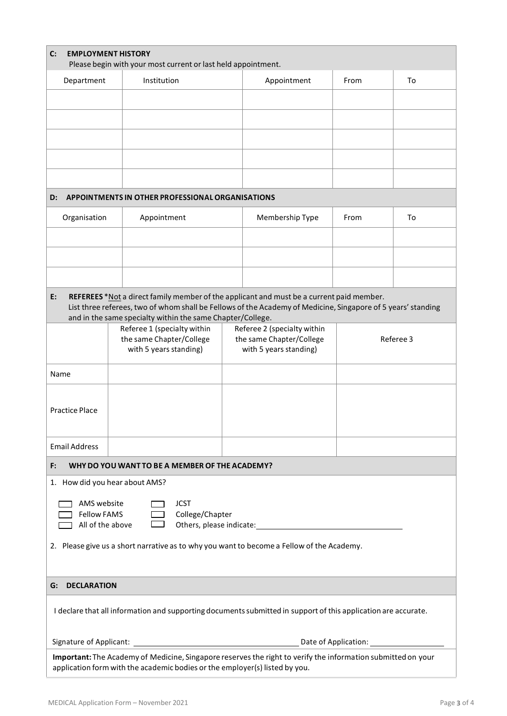| C:<br><b>EMPLOYMENT HISTORY</b><br>Please begin with your most current or last held appointment.                                                                                            |             |                                                                                           |  |                                                                                                                                                                                                                                |           |    |
|---------------------------------------------------------------------------------------------------------------------------------------------------------------------------------------------|-------------|-------------------------------------------------------------------------------------------|--|--------------------------------------------------------------------------------------------------------------------------------------------------------------------------------------------------------------------------------|-----------|----|
| Department                                                                                                                                                                                  | Institution |                                                                                           |  | Appointment                                                                                                                                                                                                                    | From      | To |
|                                                                                                                                                                                             |             |                                                                                           |  |                                                                                                                                                                                                                                |           |    |
|                                                                                                                                                                                             |             |                                                                                           |  |                                                                                                                                                                                                                                |           |    |
|                                                                                                                                                                                             |             |                                                                                           |  |                                                                                                                                                                                                                                |           |    |
|                                                                                                                                                                                             |             |                                                                                           |  |                                                                                                                                                                                                                                |           |    |
|                                                                                                                                                                                             |             |                                                                                           |  |                                                                                                                                                                                                                                |           |    |
|                                                                                                                                                                                             |             |                                                                                           |  |                                                                                                                                                                                                                                |           |    |
| D:                                                                                                                                                                                          |             | APPOINTMENTS IN OTHER PROFESSIONAL ORGANISATIONS                                          |  |                                                                                                                                                                                                                                |           |    |
| Organisation                                                                                                                                                                                |             | Appointment                                                                               |  | Membership Type                                                                                                                                                                                                                | From      | To |
|                                                                                                                                                                                             |             |                                                                                           |  |                                                                                                                                                                                                                                |           |    |
|                                                                                                                                                                                             |             |                                                                                           |  |                                                                                                                                                                                                                                |           |    |
|                                                                                                                                                                                             |             |                                                                                           |  |                                                                                                                                                                                                                                |           |    |
|                                                                                                                                                                                             |             |                                                                                           |  |                                                                                                                                                                                                                                |           |    |
| E:                                                                                                                                                                                          |             |                                                                                           |  | REFEREES *Not a direct family member of the applicant and must be a current paid member.<br>List three referees, two of whom shall be Fellows of the Academy of Medicine, Singapore of 5 years' standing                       |           |    |
|                                                                                                                                                                                             |             | and in the same specialty within the same Chapter/College.<br>Referee 1 (specialty within |  | Referee 2 (specialty within                                                                                                                                                                                                    |           |    |
|                                                                                                                                                                                             |             | the same Chapter/College                                                                  |  | the same Chapter/College                                                                                                                                                                                                       | Referee 3 |    |
|                                                                                                                                                                                             |             | with 5 years standing)                                                                    |  | with 5 years standing)                                                                                                                                                                                                         |           |    |
| Name                                                                                                                                                                                        |             |                                                                                           |  |                                                                                                                                                                                                                                |           |    |
|                                                                                                                                                                                             |             |                                                                                           |  |                                                                                                                                                                                                                                |           |    |
| <b>Practice Place</b>                                                                                                                                                                       |             |                                                                                           |  |                                                                                                                                                                                                                                |           |    |
|                                                                                                                                                                                             |             |                                                                                           |  |                                                                                                                                                                                                                                |           |    |
| <b>Email Address</b>                                                                                                                                                                        |             |                                                                                           |  |                                                                                                                                                                                                                                |           |    |
| F:                                                                                                                                                                                          |             | WHY DO YOU WANT TO BE A MEMBER OF THE ACADEMY?                                            |  |                                                                                                                                                                                                                                |           |    |
| 1. How did you hear about AMS?                                                                                                                                                              |             |                                                                                           |  |                                                                                                                                                                                                                                |           |    |
| AMS website                                                                                                                                                                                 |             | <b>JCST</b>                                                                               |  |                                                                                                                                                                                                                                |           |    |
| <b>Fellow FAMS</b><br>College/Chapter                                                                                                                                                       |             |                                                                                           |  |                                                                                                                                                                                                                                |           |    |
| All of the above                                                                                                                                                                            |             |                                                                                           |  | Others, please indicate: The contract of the contract of the contract of the contract of the contract of the contract of the contract of the contract of the contract of the contract of the contract of the contract of the c |           |    |
|                                                                                                                                                                                             |             |                                                                                           |  | 2. Please give us a short narrative as to why you want to become a Fellow of the Academy.                                                                                                                                      |           |    |
|                                                                                                                                                                                             |             |                                                                                           |  |                                                                                                                                                                                                                                |           |    |
| <b>DECLARATION</b><br>G:                                                                                                                                                                    |             |                                                                                           |  |                                                                                                                                                                                                                                |           |    |
| I declare that all information and supporting documents submitted in support of this application are accurate.                                                                              |             |                                                                                           |  |                                                                                                                                                                                                                                |           |    |
|                                                                                                                                                                                             |             |                                                                                           |  |                                                                                                                                                                                                                                |           |    |
| Important: The Academy of Medicine, Singapore reserves the right to verify the information submitted on your<br>application form with the academic bodies or the employer(s) listed by you. |             |                                                                                           |  |                                                                                                                                                                                                                                |           |    |